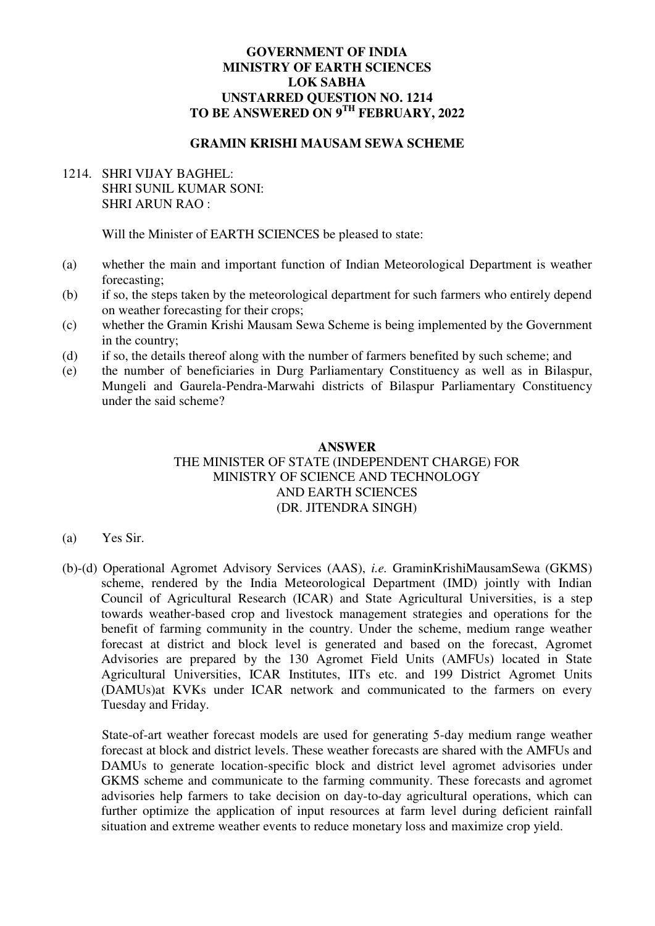### **GOVERNMENT OF INDIA MINISTRY OF EARTH SCIENCES LOK SABHA UNSTARRED QUESTION NO. 1214 TO BE ANSWERED ON 9TH FEBRUARY, 2022**

### **GRAMIN KRISHI MAUSAM SEWA SCHEME**

# 1214. SHRI VIJAY BAGHEL: SHRI SUNIL KUMAR SONI: SHRI ARUN RAO :

Will the Minister of EARTH SCIENCES be pleased to state:

- (a) whether the main and important function of Indian Meteorological Department is weather forecasting;
- (b) if so, the steps taken by the meteorological department for such farmers who entirely depend on weather forecasting for their crops;
- (c) whether the Gramin Krishi Mausam Sewa Scheme is being implemented by the Government in the country;
- (d) if so, the details thereof along with the number of farmers benefited by such scheme; and
- (e) the number of beneficiaries in Durg Parliamentary Constituency as well as in Bilaspur, Mungeli and Gaurela-Pendra-Marwahi districts of Bilaspur Parliamentary Constituency under the said scheme?

#### **ANSWER**

## THE MINISTER OF STATE (INDEPENDENT CHARGE) FOR MINISTRY OF SCIENCE AND TECHNOLOGY AND EARTH SCIENCES (DR. JITENDRA SINGH)

- (a) Yes Sir.
- (b)-(d) Operational Agromet Advisory Services (AAS), *i.e.* GraminKrishiMausamSewa (GKMS) scheme, rendered by the India Meteorological Department (IMD) jointly with Indian Council of Agricultural Research (ICAR) and State Agricultural Universities, is a step towards weather-based crop and livestock management strategies and operations for the benefit of farming community in the country. Under the scheme, medium range weather forecast at district and block level is generated and based on the forecast, Agromet Advisories are prepared by the 130 Agromet Field Units (AMFUs) located in State Agricultural Universities, ICAR Institutes, IITs etc. and 199 District Agromet Units (DAMUs)at KVKs under ICAR network and communicated to the farmers on every Tuesday and Friday.

State-of-art weather forecast models are used for generating 5-day medium range weather forecast at block and district levels. These weather forecasts are shared with the AMFUs and DAMUs to generate location-specific block and district level agromet advisories under GKMS scheme and communicate to the farming community. These forecasts and agromet advisories help farmers to take decision on day-to-day agricultural operations, which can further optimize the application of input resources at farm level during deficient rainfall situation and extreme weather events to reduce monetary loss and maximize crop yield.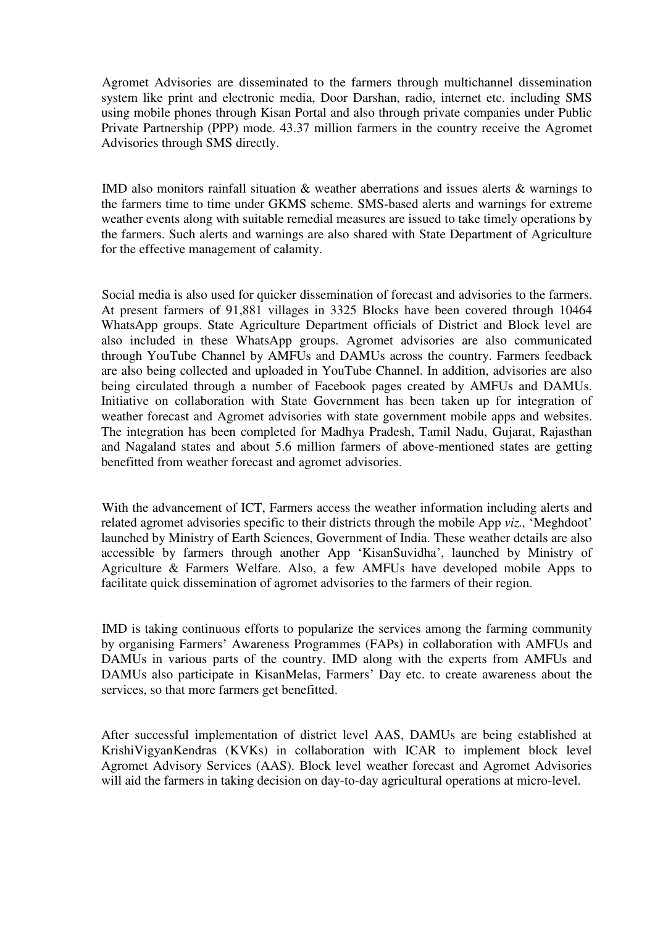Agromet Advisories are disseminated to the farmers through multichannel dissemination system like print and electronic media, Door Darshan, radio, internet etc. including SMS using mobile phones through Kisan Portal and also through private companies under Public Private Partnership (PPP) mode. 43.37 million farmers in the country receive the Agromet Advisories through SMS directly.

IMD also monitors rainfall situation & weather aberrations and issues alerts & warnings to the farmers time to time under GKMS scheme. SMS-based alerts and warnings for extreme weather events along with suitable remedial measures are issued to take timely operations by the farmers. Such alerts and warnings are also shared with State Department of Agriculture for the effective management of calamity.

Social media is also used for quicker dissemination of forecast and advisories to the farmers. At present farmers of 91,881 villages in 3325 Blocks have been covered through 10464 WhatsApp groups. State Agriculture Department officials of District and Block level are also included in these WhatsApp groups. Agromet advisories are also communicated through YouTube Channel by AMFUs and DAMUs across the country. Farmers feedback are also being collected and uploaded in YouTube Channel. In addition, advisories are also being circulated through a number of Facebook pages created by AMFUs and DAMUs. Initiative on collaboration with State Government has been taken up for integration of weather forecast and Agromet advisories with state government mobile apps and websites. The integration has been completed for Madhya Pradesh, Tamil Nadu, Gujarat, Rajasthan and Nagaland states and about 5.6 million farmers of above-mentioned states are getting benefitted from weather forecast and agromet advisories.

With the advancement of ICT, Farmers access the weather information including alerts and related agromet advisories specific to their districts through the mobile App *viz.,* 'Meghdoot' launched by Ministry of Earth Sciences, Government of India. These weather details are also accessible by farmers through another App 'KisanSuvidha', launched by Ministry of Agriculture & Farmers Welfare. Also, a few AMFUs have developed mobile Apps to facilitate quick dissemination of agromet advisories to the farmers of their region.

IMD is taking continuous efforts to popularize the services among the farming community by organising Farmers' Awareness Programmes (FAPs) in collaboration with AMFUs and DAMUs in various parts of the country. IMD along with the experts from AMFUs and DAMUs also participate in KisanMelas, Farmers' Day etc. to create awareness about the services, so that more farmers get benefitted.

After successful implementation of district level AAS, DAMUs are being established at KrishiVigyanKendras (KVKs) in collaboration with ICAR to implement block level Agromet Advisory Services (AAS). Block level weather forecast and Agromet Advisories will aid the farmers in taking decision on day-to-day agricultural operations at micro-level.